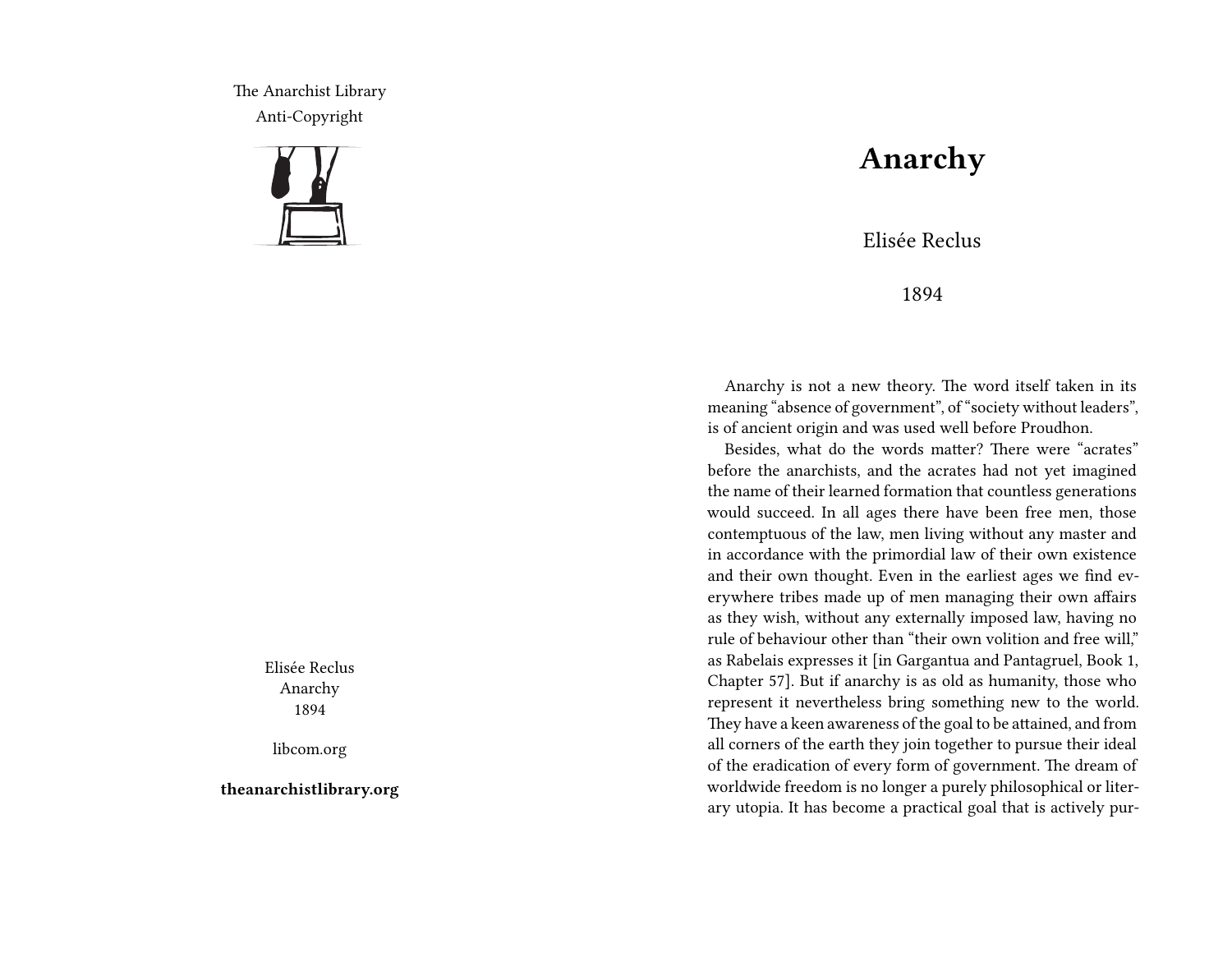The Anarchist Library Anti-Copyright



Elisée Reclus Anarchy 1894

libcom.org

**theanarchistlibrary.org**

## **Anarchy**

Elisée Reclus

1894

Anarchy is not a new theory. The word itself taken in its meaning "absence of government", of "society without leaders", is of ancient origin and was used well before Proudhon.

Besides, what do the words matter? There were "acrates" before the anarchists, and the acrates had not yet imagined the name of their learned formation that countless generations would succeed. In all ages there have been free men, those contemptuous of the law, men living without any master and in accordance with the primordial law of their own existence and their own thought. Even in the earliest ages we find everywhere tribes made up of men managing their own affairs as they wish, without any externally imposed law, having no rule of behaviour other than "their own volition and free will," as Rabelais expresses it [in Gargantua and Pantagruel, Book 1, Chapter 57]. But if anarchy is as old as humanity, those who represent it nevertheless bring something new to the world. They have a keen awareness of the goal to be attained, and from all corners of the earth they join together to pursue their ideal of the eradication of every form of government. The dream of worldwide freedom is no longer a purely philosophical or literary utopia. It has become a practical goal that is actively pur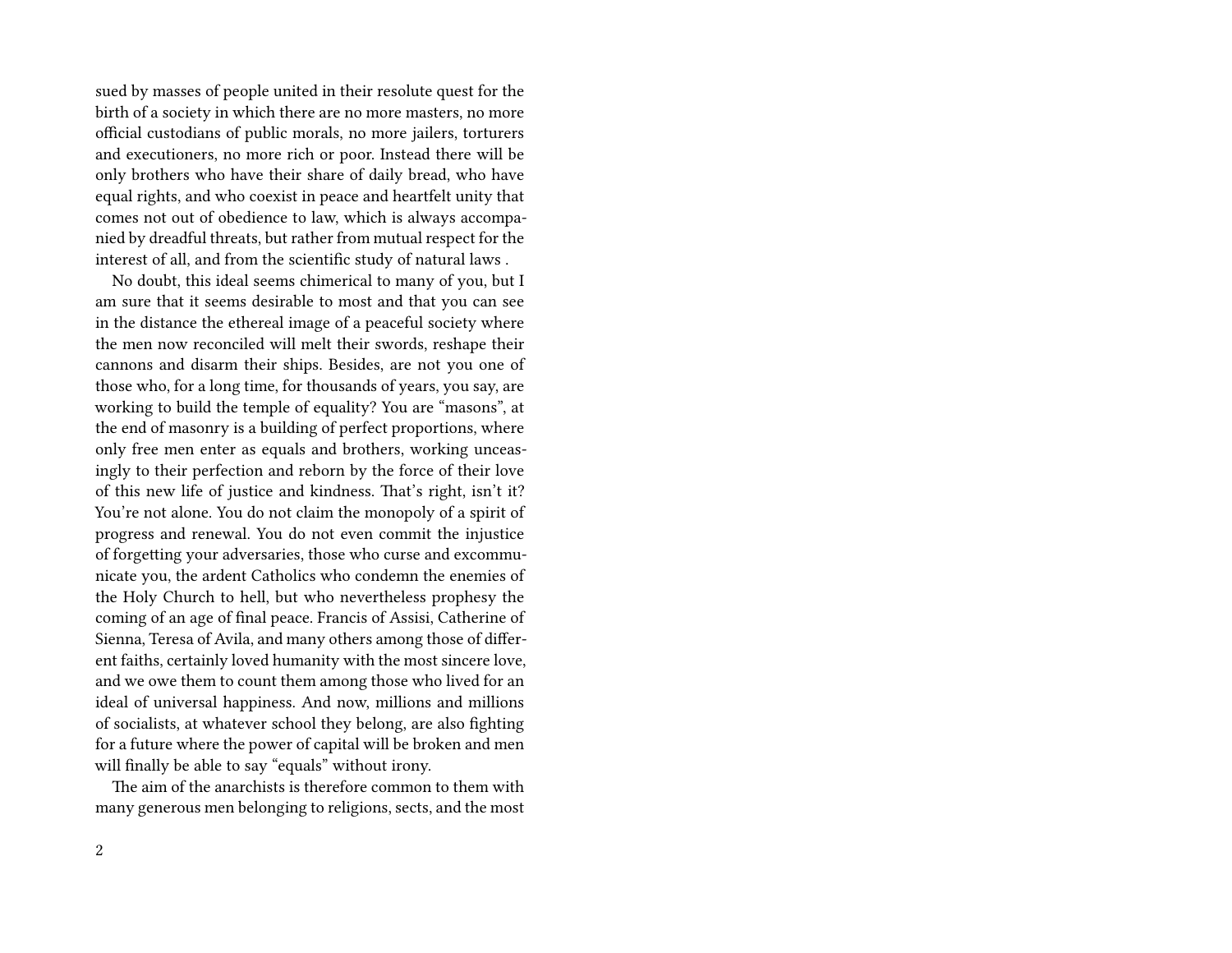sued by masses of people united in their resolute quest for the birth of a society in which there are no more masters, no more official custodians of public morals, no more jailers, torturers and executioners, no more rich or poor. Instead there will be only brothers who have their share of daily bread, who have equal rights, and who coexist in peace and heartfelt unity that comes not out of obedience to law, which is always accompanied by dreadful threats, but rather from mutual respect for the interest of all, and from the scientific study of natural laws .

No doubt, this ideal seems chimerical to many of you, but I am sure that it seems desirable to most and that you can see in the distance the ethereal image of a peaceful society where the men now reconciled will melt their swords, reshape their cannons and disarm their ships. Besides, are not you one of those who, for a long time, for thousands of years, you say, are working to build the temple of equality? You are "masons", at the end of masonry is a building of perfect proportions, where only free men enter as equals and brothers, working unceasingly to their perfection and reborn by the force of their love of this new life of justice and kindness. That's right, isn't it? You're not alone. You do not claim the monopoly of a spirit of progress and renewal. You do not even commit the injustice of forgetting your adversaries, those who curse and excommunicate you, the ardent Catholics who condemn the enemies of the Holy Church to hell, but who nevertheless prophesy the coming of an age of final peace. Francis of Assisi, Catherine of Sienna, Teresa of Avila, and many others among those of different faiths, certainly loved humanity with the most sincere love, and we owe them to count them among those who lived for an ideal of universal happiness. And now, millions and millions of socialists, at whatever school they belong, are also fighting for a future where the power of capital will be broken and men will finally be able to say "equals" without irony.

The aim of the anarchists is therefore common to them with many generous men belonging to religions, sects, and the most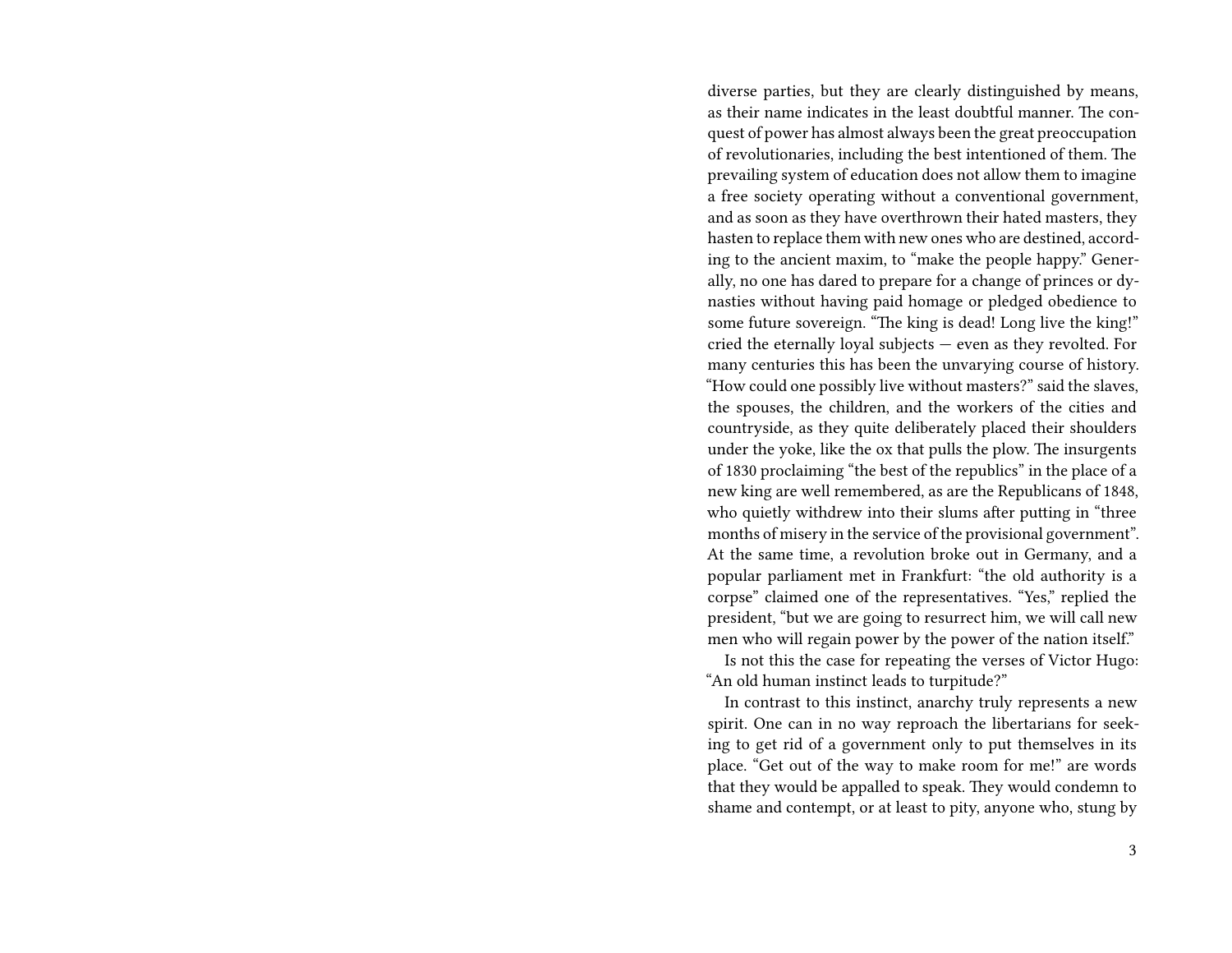diverse parties, but they are clearly distinguished by means, as their name indicates in the least doubtful manner. The conquest of power has almost always been the great preoccupation of revolutionaries, including the best intentioned of them. The prevailing system of education does not allow them to imagine a free society operating without a conventional government, and as soon as they have overthrown their hated masters, they hasten to replace them with new ones who are destined, according to the ancient maxim, to "make the people happy." Generally, no one has dared to prepare for a change of princes or dynasties without having paid homage or pledged obedience to some future sovereign. "The king is dead! Long live the king!" cried the eternally loyal subjects — even as they revolted. For many centuries this has been the unvarying course of history. "How could one possibly live without masters?" said the slaves, the spouses, the children, and the workers of the cities and countryside, as they quite deliberately placed their shoulders under the yoke, like the ox that pulls the plow. The insurgents of 1830 proclaiming "the best of the republics" in the place of a new king are well remembered, as are the Republicans of 1848, who quietly withdrew into their slums after putting in "three months of misery in the service of the provisional government". At the same time, a revolution broke out in Germany, and a popular parliament met in Frankfurt: "the old authority is a corpse" claimed one of the representatives. "Yes," replied the president, "but we are going to resurrect him, we will call new men who will regain power by the power of the nation itself."

Is not this the case for repeating the verses of Victor Hugo: "An old human instinct leads to turpitude?"

In contrast to this instinct, anarchy truly represents a new spirit. One can in no way reproach the libertarians for seeking to get rid of a government only to put themselves in its place. "Get out of the way to make room for me!" are words that they would be appalled to speak. They would condemn to shame and contempt, or at least to pity, anyone who, stung by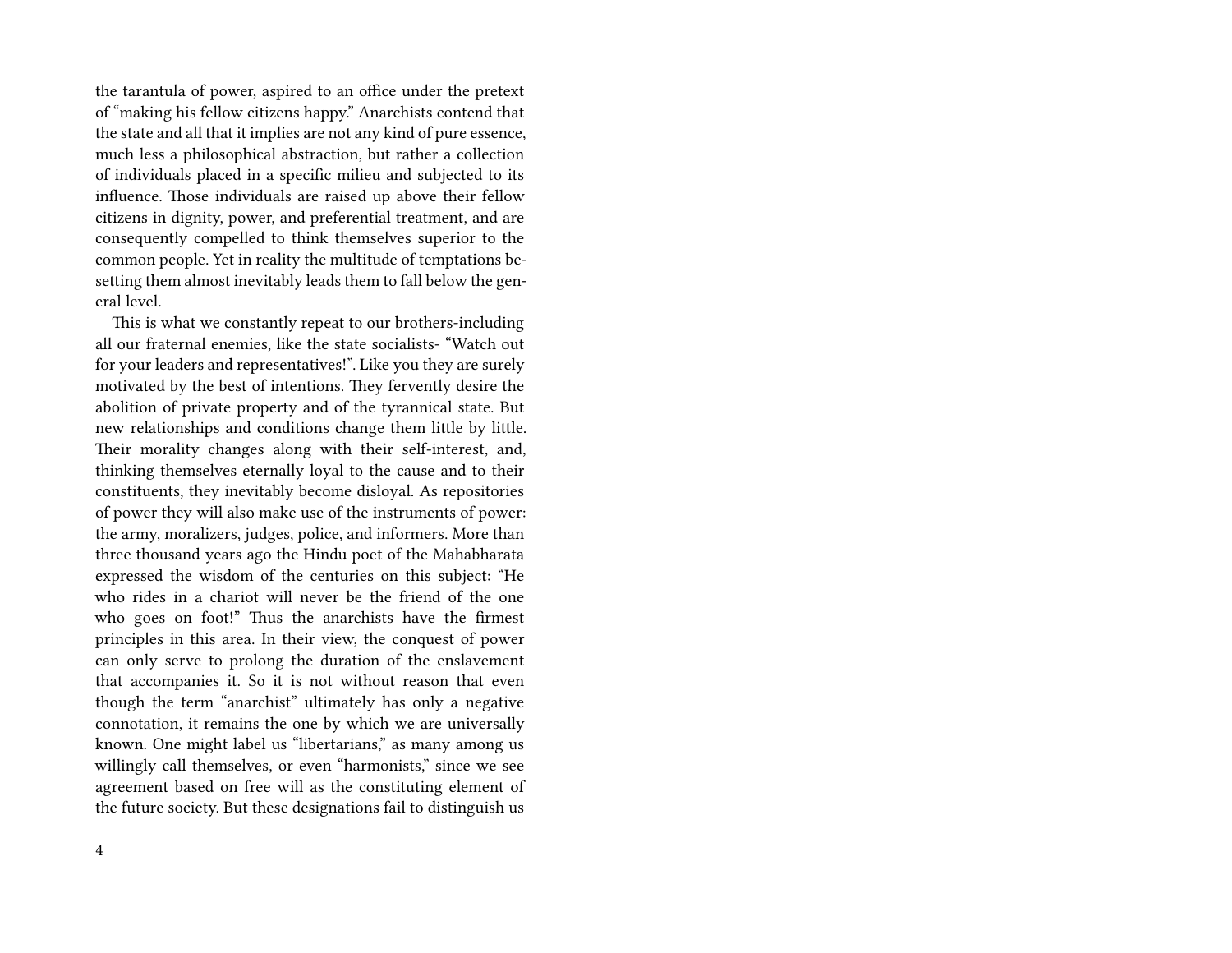the tarantula of power, aspired to an office under the pretext of "making his fellow citizens happy." Anarchists contend that the state and all that it implies are not any kind of pure essence, much less a philosophical abstraction, but rather a collection of individuals placed in a specific milieu and subjected to its influence. Those individuals are raised up above their fellow citizens in dignity, power, and preferential treatment, and are consequently compelled to think themselves superior to the common people. Yet in reality the multitude of temptations besetting them almost inevitably leads them to fall below the general level.

This is what we constantly repeat to our brothers-including all our fraternal enemies, like the state socialists- "Watch out for your leaders and representatives!". Like you they are surely motivated by the best of intentions. They fervently desire the abolition of private property and of the tyrannical state. But new relationships and conditions change them little by little. Their morality changes along with their self-interest, and, thinking themselves eternally loyal to the cause and to their constituents, they inevitably become disloyal. As repositories of power they will also make use of the instruments of power: the army, moralizers, judges, police, and informers. More than three thousand years ago the Hindu poet of the Mahabharata expressed the wisdom of the centuries on this subject: "He who rides in a chariot will never be the friend of the one who goes on foot!" Thus the anarchists have the firmest principles in this area. In their view, the conquest of power can only serve to prolong the duration of the enslavement that accompanies it. So it is not without reason that even though the term "anarchist" ultimately has only a negative connotation, it remains the one by which we are universally known. One might label us "libertarians," as many among us willingly call themselves, or even "harmonists," since we see agreement based on free will as the constituting element of the future society. But these designations fail to distinguish us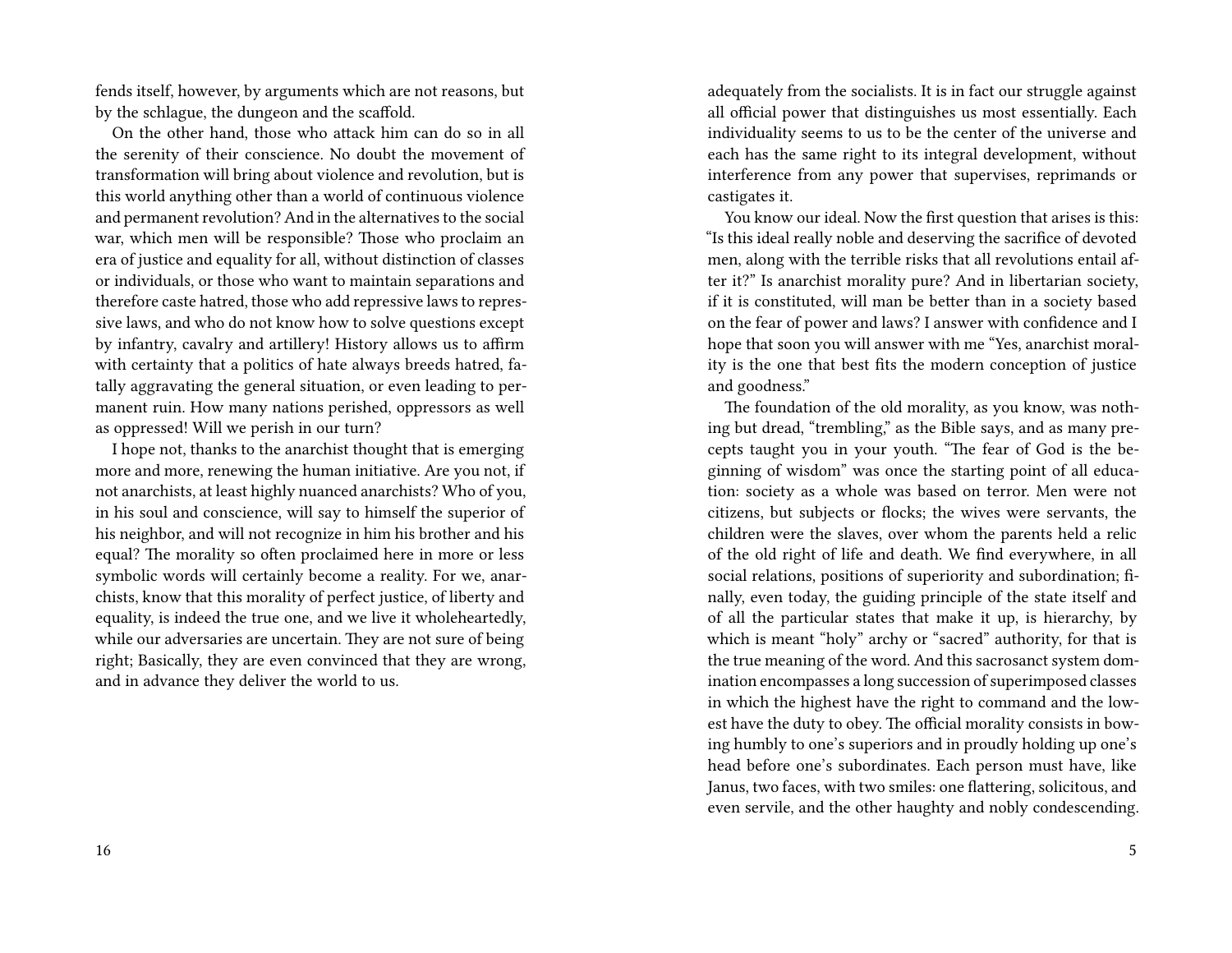fends itself, however, by arguments which are not reasons, but by the schlague, the dungeon and the scaffold.

On the other hand, those who attack him can do so in all the serenity of their conscience. No doubt the movement of transformation will bring about violence and revolution, but is this world anything other than a world of continuous violence and permanent revolution? And in the alternatives to the social war, which men will be responsible? Those who proclaim an era of justice and equality for all, without distinction of classes or individuals, or those who want to maintain separations and therefore caste hatred, those who add repressive laws to repressive laws, and who do not know how to solve questions except by infantry, cavalry and artillery! History allows us to affirm with certainty that a politics of hate always breeds hatred, fatally aggravating the general situation, or even leading to permanent ruin. How many nations perished, oppressors as well as oppressed! Will we perish in our turn?

I hope not, thanks to the anarchist thought that is emerging more and more, renewing the human initiative. Are you not, if not anarchists, at least highly nuanced anarchists? Who of you, in his soul and conscience, will say to himself the superior of his neighbor, and will not recognize in him his brother and his equal? The morality so often proclaimed here in more or less symbolic words will certainly become a reality. For we, anarchists, know that this morality of perfect justice, of liberty and equality, is indeed the true one, and we live it wholeheartedly, while our adversaries are uncertain. They are not sure of being right; Basically, they are even convinced that they are wrong, and in advance they deliver the world to us.

adequately from the socialists. It is in fact our struggle against all official power that distinguishes us most essentially. Each individuality seems to us to be the center of the universe and each has the same right to its integral development, without interference from any power that supervises, reprimands or castigates it.

You know our ideal. Now the first question that arises is this: "Is this ideal really noble and deserving the sacrifice of devoted men, along with the terrible risks that all revolutions entail after it?" Is anarchist morality pure? And in libertarian society, if it is constituted, will man be better than in a society based on the fear of power and laws? I answer with confidence and I hope that soon you will answer with me "Yes, anarchist morality is the one that best fits the modern conception of justice and goodness."

The foundation of the old morality, as you know, was nothing but dread, "trembling," as the Bible says, and as many precepts taught you in your youth. "The fear of God is the beginning of wisdom" was once the starting point of all education: society as a whole was based on terror. Men were not citizens, but subjects or flocks; the wives were servants, the children were the slaves, over whom the parents held a relic of the old right of life and death. We find everywhere, in all social relations, positions of superiority and subordination; finally, even today, the guiding principle of the state itself and of all the particular states that make it up, is hierarchy, by which is meant "holy" archy or "sacred" authority, for that is the true meaning of the word. And this sacrosanct system domination encompasses a long succession of superimposed classes in which the highest have the right to command and the lowest have the duty to obey. The official morality consists in bowing humbly to one's superiors and in proudly holding up one's head before one's subordinates. Each person must have, like Janus, two faces, with two smiles: one flattering, solicitous, and even servile, and the other haughty and nobly condescending.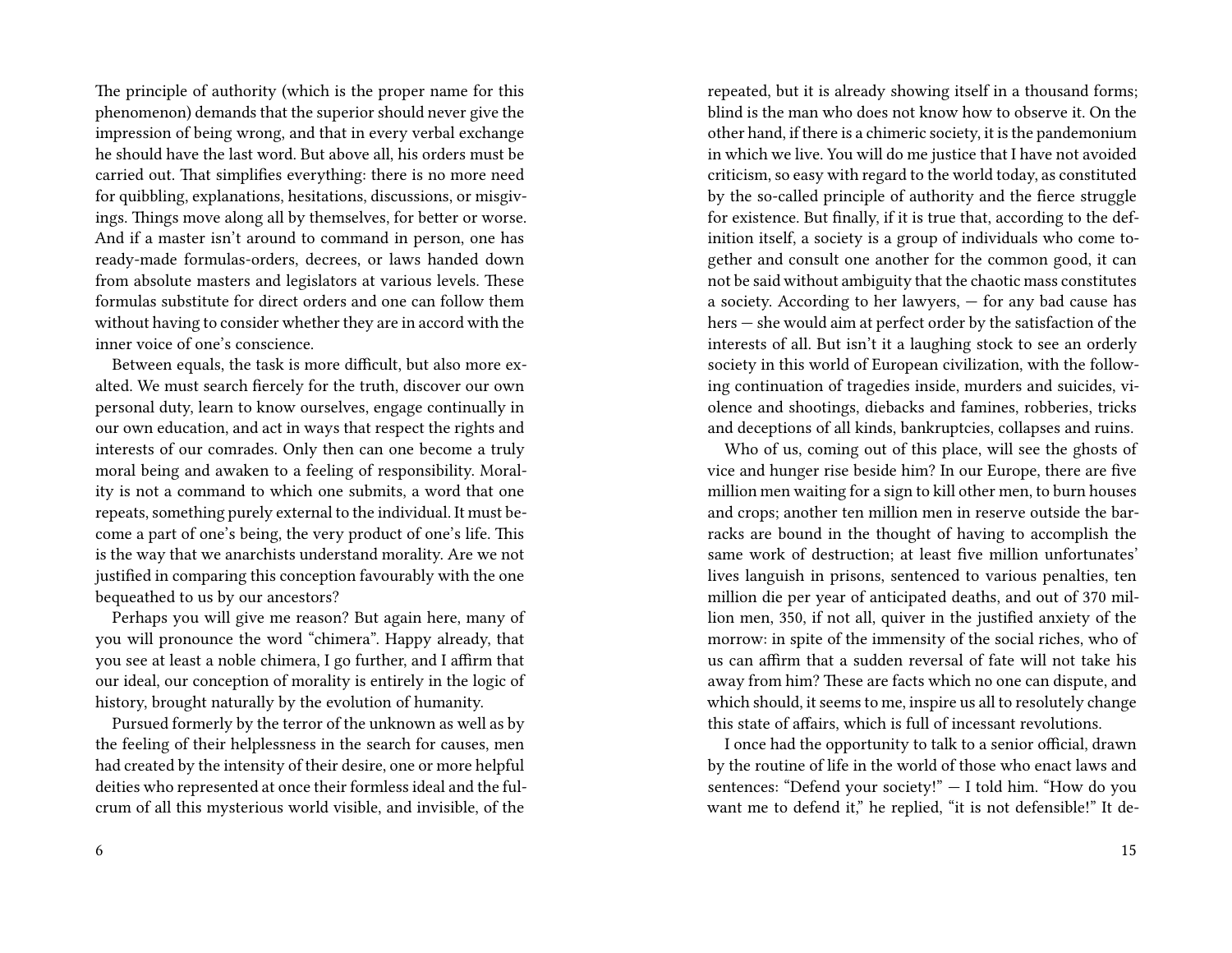The principle of authority (which is the proper name for this phenomenon) demands that the superior should never give the impression of being wrong, and that in every verbal exchange he should have the last word. But above all, his orders must be carried out. That simplifies everything: there is no more need for quibbling, explanations, hesitations, discussions, or misgivings. Things move along all by themselves, for better or worse. And if a master isn't around to command in person, one has ready-made formulas-orders, decrees, or laws handed down from absolute masters and legislators at various levels. These formulas substitute for direct orders and one can follow them without having to consider whether they are in accord with the inner voice of one's conscience.

Between equals, the task is more difficult, but also more exalted. We must search fiercely for the truth, discover our own personal duty, learn to know ourselves, engage continually in our own education, and act in ways that respect the rights and interests of our comrades. Only then can one become a truly moral being and awaken to a feeling of responsibility. Morality is not a command to which one submits, a word that one repeats, something purely external to the individual. It must become a part of one's being, the very product of one's life. This is the way that we anarchists understand morality. Are we not justified in comparing this conception favourably with the one bequeathed to us by our ancestors?

Perhaps you will give me reason? But again here, many of you will pronounce the word "chimera". Happy already, that you see at least a noble chimera, I go further, and I affirm that our ideal, our conception of morality is entirely in the logic of history, brought naturally by the evolution of humanity.

Pursued formerly by the terror of the unknown as well as by the feeling of their helplessness in the search for causes, men had created by the intensity of their desire, one or more helpful deities who represented at once their formless ideal and the fulcrum of all this mysterious world visible, and invisible, of the

repeated, but it is already showing itself in a thousand forms; blind is the man who does not know how to observe it. On the other hand, if there is a chimeric society, it is the pandemonium in which we live. You will do me justice that I have not avoided criticism, so easy with regard to the world today, as constituted by the so-called principle of authority and the fierce struggle for existence. But finally, if it is true that, according to the definition itself, a society is a group of individuals who come together and consult one another for the common good, it can not be said without ambiguity that the chaotic mass constitutes a society. According to her lawyers, — for any bad cause has hers — she would aim at perfect order by the satisfaction of the interests of all. But isn't it a laughing stock to see an orderly society in this world of European civilization, with the following continuation of tragedies inside, murders and suicides, violence and shootings, diebacks and famines, robberies, tricks and deceptions of all kinds, bankruptcies, collapses and ruins.

Who of us, coming out of this place, will see the ghosts of vice and hunger rise beside him? In our Europe, there are five million men waiting for a sign to kill other men, to burn houses and crops; another ten million men in reserve outside the barracks are bound in the thought of having to accomplish the same work of destruction; at least five million unfortunates' lives languish in prisons, sentenced to various penalties, ten million die per year of anticipated deaths, and out of 370 million men, 350, if not all, quiver in the justified anxiety of the morrow: in spite of the immensity of the social riches, who of us can affirm that a sudden reversal of fate will not take his away from him? These are facts which no one can dispute, and which should, it seems to me, inspire us all to resolutely change this state of affairs, which is full of incessant revolutions.

I once had the opportunity to talk to a senior official, drawn by the routine of life in the world of those who enact laws and sentences: "Defend your society!" — I told him. "How do you want me to defend it," he replied, "it is not defensible!" It de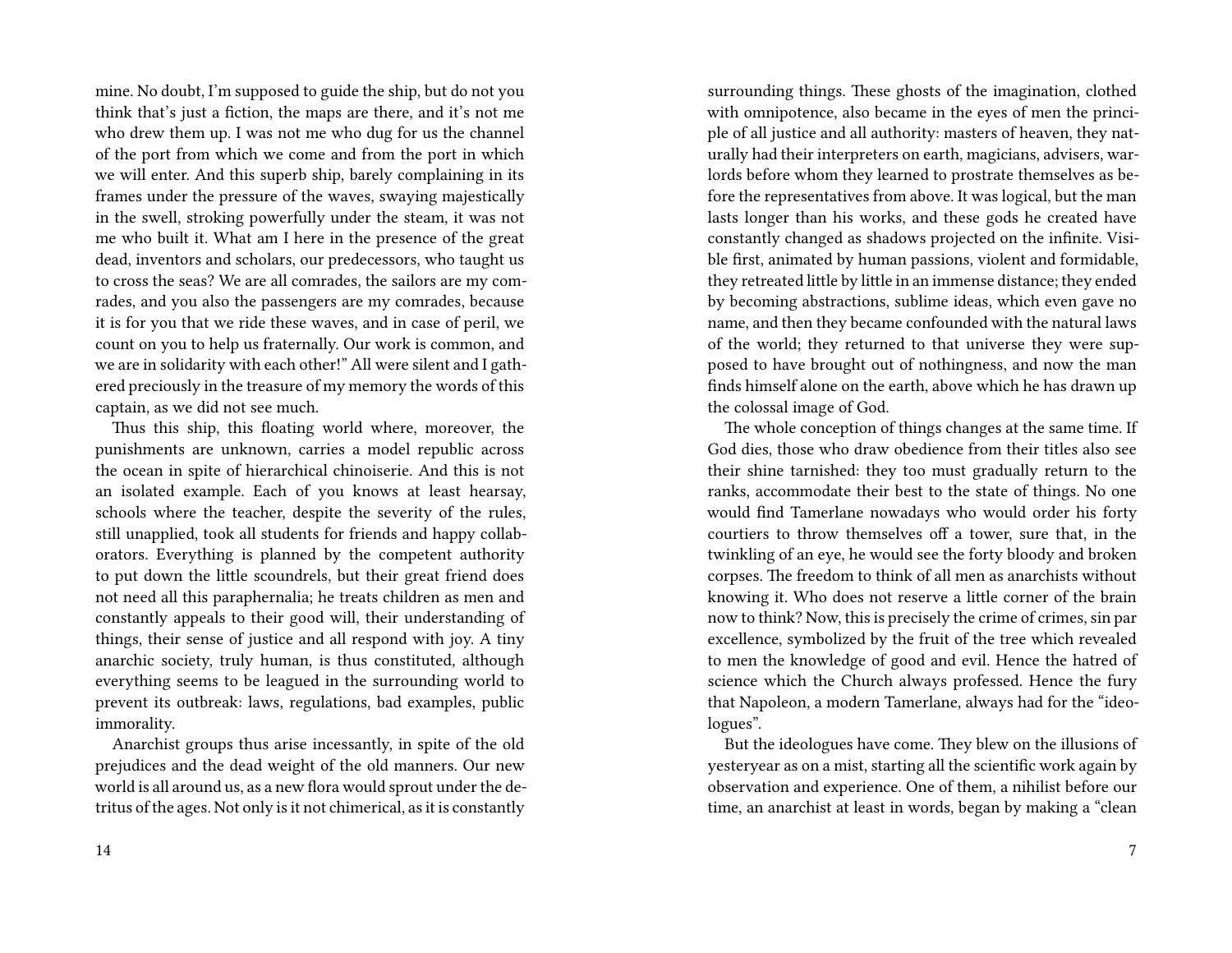mine. No doubt, I'm supposed to guide the ship, but do not you think that's just a fiction, the maps are there, and it's not me who drew them up. I was not me who dug for us the channel of the port from which we come and from the port in which we will enter. And this superb ship, barely complaining in its frames under the pressure of the waves, swaying majestically in the swell, stroking powerfully under the steam, it was not me who built it. What am I here in the presence of the great dead, inventors and scholars, our predecessors, who taught us to cross the seas? We are all comrades, the sailors are my comrades, and you also the passengers are my comrades, because it is for you that we ride these waves, and in case of peril, we count on you to help us fraternally. Our work is common, and we are in solidarity with each other!" All were silent and I gathered preciously in the treasure of my memory the words of this captain, as we did not see much.

Thus this ship, this floating world where, moreover, the punishments are unknown, carries a model republic across the ocean in spite of hierarchical chinoiserie. And this is not an isolated example. Each of you knows at least hearsay, schools where the teacher, despite the severity of the rules, still unapplied, took all students for friends and happy collaborators. Everything is planned by the competent authority to put down the little scoundrels, but their great friend does not need all this paraphernalia; he treats children as men and constantly appeals to their good will, their understanding of things, their sense of justice and all respond with joy. A tiny anarchic society, truly human, is thus constituted, although everything seems to be leagued in the surrounding world to prevent its outbreak: laws, regulations, bad examples, public immorality.

Anarchist groups thus arise incessantly, in spite of the old prejudices and the dead weight of the old manners. Our new world is all around us, as a new flora would sprout under the detritus of the ages. Not only is it not chimerical, as it is constantly

surrounding things. These ghosts of the imagination, clothed with omnipotence, also became in the eyes of men the principle of all justice and all authority: masters of heaven, they naturally had their interpreters on earth, magicians, advisers, warlords before whom they learned to prostrate themselves as before the representatives from above. It was logical, but the man lasts longer than his works, and these gods he created have constantly changed as shadows projected on the infinite. Visible first, animated by human passions, violent and formidable, they retreated little by little in an immense distance; they ended by becoming abstractions, sublime ideas, which even gave no name, and then they became confounded with the natural laws of the world; they returned to that universe they were supposed to have brought out of nothingness, and now the man finds himself alone on the earth, above which he has drawn up the colossal image of God.

The whole conception of things changes at the same time. If God dies, those who draw obedience from their titles also see their shine tarnished: they too must gradually return to the ranks, accommodate their best to the state of things. No one would find Tamerlane nowadays who would order his forty courtiers to throw themselves off a tower, sure that, in the twinkling of an eye, he would see the forty bloody and broken corpses. The freedom to think of all men as anarchists without knowing it. Who does not reserve a little corner of the brain now to think? Now, this is precisely the crime of crimes, sin par excellence, symbolized by the fruit of the tree which revealed to men the knowledge of good and evil. Hence the hatred of science which the Church always professed. Hence the fury that Napoleon, a modern Tamerlane, always had for the "ideologues".

But the ideologues have come. They blew on the illusions of yesteryear as on a mist, starting all the scientific work again by observation and experience. One of them, a nihilist before our time, an anarchist at least in words, began by making a "clean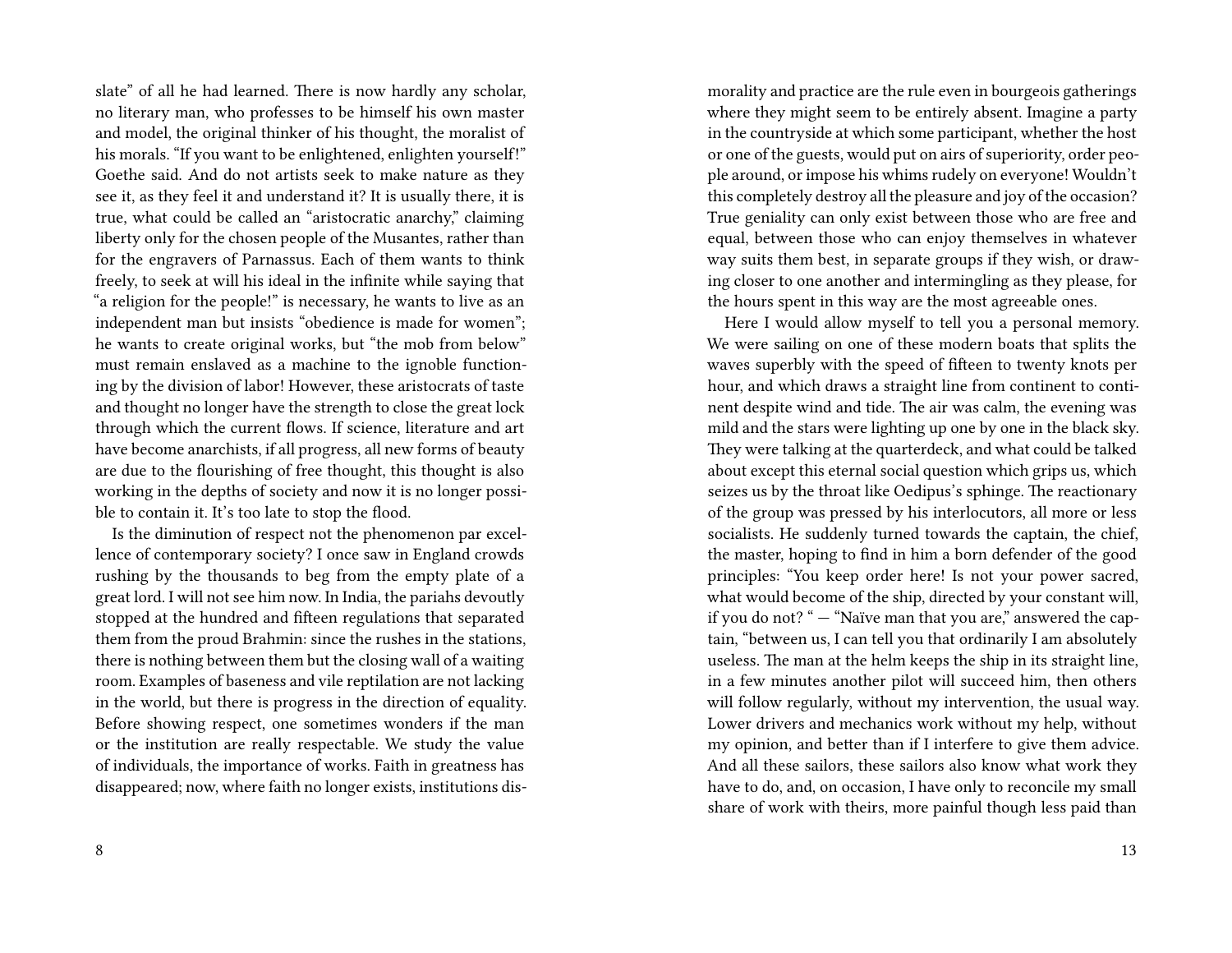slate" of all he had learned. There is now hardly any scholar, no literary man, who professes to be himself his own master and model, the original thinker of his thought, the moralist of his morals. "If you want to be enlightened, enlighten yourself!" Goethe said. And do not artists seek to make nature as they see it, as they feel it and understand it? It is usually there, it is true, what could be called an "aristocratic anarchy," claiming liberty only for the chosen people of the Musantes, rather than for the engravers of Parnassus. Each of them wants to think freely, to seek at will his ideal in the infinite while saying that "a religion for the people!" is necessary, he wants to live as an independent man but insists "obedience is made for women"; he wants to create original works, but "the mob from below" must remain enslaved as a machine to the ignoble functioning by the division of labor! However, these aristocrats of taste and thought no longer have the strength to close the great lock through which the current flows. If science, literature and art have become anarchists, if all progress, all new forms of beauty are due to the flourishing of free thought, this thought is also working in the depths of society and now it is no longer possible to contain it. It's too late to stop the flood.

Is the diminution of respect not the phenomenon par excellence of contemporary society? I once saw in England crowds rushing by the thousands to beg from the empty plate of a great lord. I will not see him now. In India, the pariahs devoutly stopped at the hundred and fifteen regulations that separated them from the proud Brahmin: since the rushes in the stations, there is nothing between them but the closing wall of a waiting room. Examples of baseness and vile reptilation are not lacking in the world, but there is progress in the direction of equality. Before showing respect, one sometimes wonders if the man or the institution are really respectable. We study the value of individuals, the importance of works. Faith in greatness has disappeared; now, where faith no longer exists, institutions dismorality and practice are the rule even in bourgeois gatherings where they might seem to be entirely absent. Imagine a party in the countryside at which some participant, whether the host or one of the guests, would put on airs of superiority, order people around, or impose his whims rudely on everyone! Wouldn't this completely destroy all the pleasure and joy of the occasion? True geniality can only exist between those who are free and equal, between those who can enjoy themselves in whatever way suits them best, in separate groups if they wish, or drawing closer to one another and intermingling as they please, for the hours spent in this way are the most agreeable ones.

Here I would allow myself to tell you a personal memory. We were sailing on one of these modern boats that splits the waves superbly with the speed of fifteen to twenty knots per hour, and which draws a straight line from continent to continent despite wind and tide. The air was calm, the evening was mild and the stars were lighting up one by one in the black sky. They were talking at the quarterdeck, and what could be talked about except this eternal social question which grips us, which seizes us by the throat like Oedipus's sphinge. The reactionary of the group was pressed by his interlocutors, all more or less socialists. He suddenly turned towards the captain, the chief, the master, hoping to find in him a born defender of the good principles: "You keep order here! Is not your power sacred, what would become of the ship, directed by your constant will, if you do not? " — "Naïve man that you are," answered the captain, "between us, I can tell you that ordinarily I am absolutely useless. The man at the helm keeps the ship in its straight line, in a few minutes another pilot will succeed him, then others will follow regularly, without my intervention, the usual way. Lower drivers and mechanics work without my help, without my opinion, and better than if I interfere to give them advice. And all these sailors, these sailors also know what work they have to do, and, on occasion, I have only to reconcile my small share of work with theirs, more painful though less paid than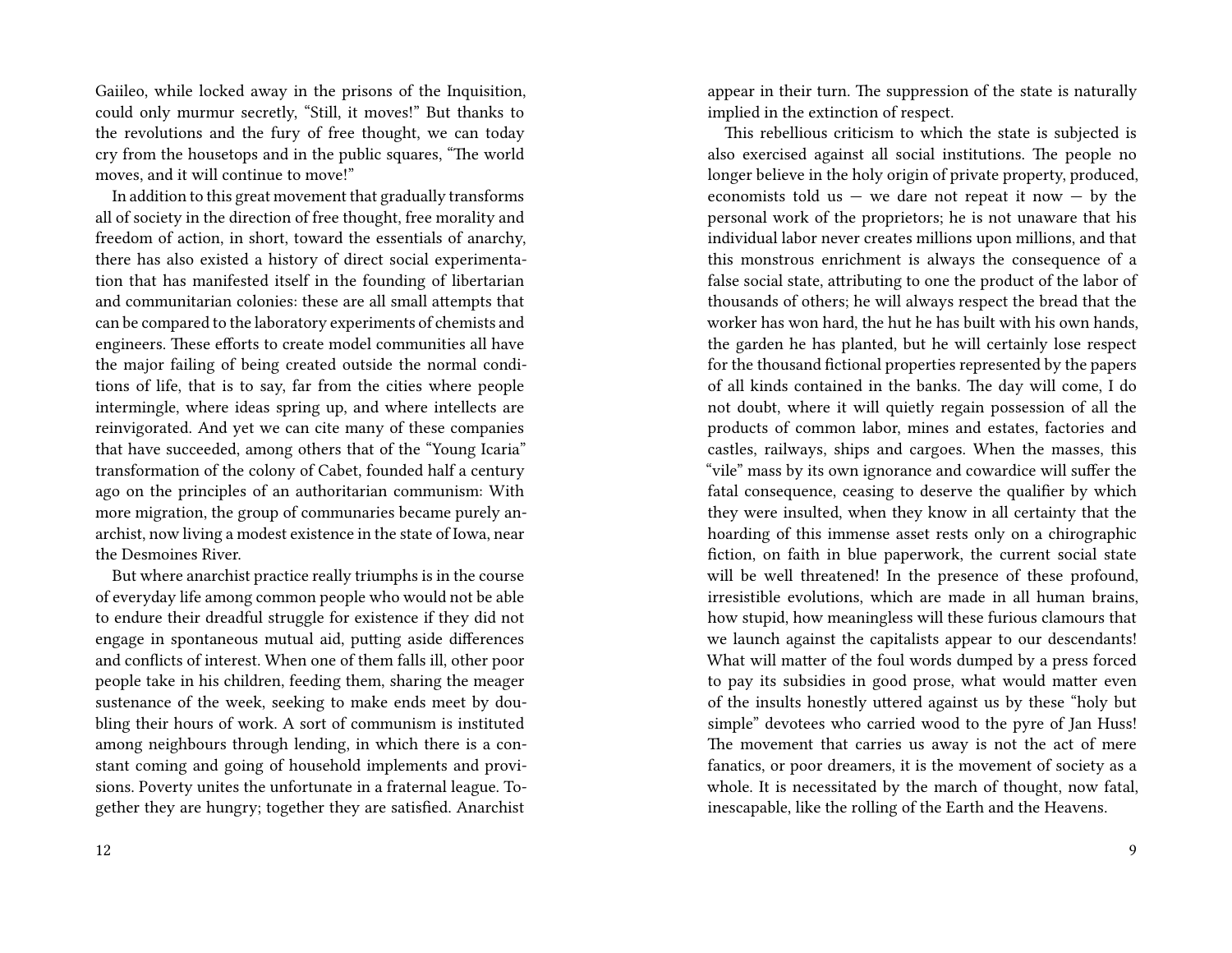Gaiileo, while locked away in the prisons of the Inquisition, could only murmur secretly, "Still, it moves!" But thanks to the revolutions and the fury of free thought, we can today cry from the housetops and in the public squares, "The world moves, and it will continue to move!"

In addition to this great movement that gradually transforms all of society in the direction of free thought, free morality and freedom of action, in short, toward the essentials of anarchy, there has also existed a history of direct social experimentation that has manifested itself in the founding of libertarian and communitarian colonies: these are all small attempts that can be compared to the laboratory experiments of chemists and engineers. These efforts to create model communities all have the major failing of being created outside the normal conditions of life, that is to say, far from the cities where people intermingle, where ideas spring up, and where intellects are reinvigorated. And yet we can cite many of these companies that have succeeded, among others that of the "Young Icaria" transformation of the colony of Cabet, founded half a century ago on the principles of an authoritarian communism: With more migration, the group of communaries became purely anarchist, now living a modest existence in the state of Iowa, near the Desmoines River.

But where anarchist practice really triumphs is in the course of everyday life among common people who would not be able to endure their dreadful struggle for existence if they did not engage in spontaneous mutual aid, putting aside differences and conflicts of interest. When one of them falls ill, other poor people take in his children, feeding them, sharing the meager sustenance of the week, seeking to make ends meet by doubling their hours of work. A sort of communism is instituted among neighbours through lending, in which there is a constant coming and going of household implements and provisions. Poverty unites the unfortunate in a fraternal league. Together they are hungry; together they are satisfied. Anarchist

12

appear in their turn. The suppression of the state is naturally implied in the extinction of respect.

This rebellious criticism to which the state is subjected is also exercised against all social institutions. The people no longer believe in the holy origin of private property, produced, economists told us — we dare not repeat it now — by the personal work of the proprietors; he is not unaware that his individual labor never creates millions upon millions, and that this monstrous enrichment is always the consequence of a false social state, attributing to one the product of the labor of thousands of others; he will always respect the bread that the worker has won hard, the hut he has built with his own hands, the garden he has planted, but he will certainly lose respect for the thousand fictional properties represented by the papers of all kinds contained in the banks. The day will come, I do not doubt, where it will quietly regain possession of all the products of common labor, mines and estates, factories and castles, railways, ships and cargoes. When the masses, this "vile" mass by its own ignorance and cowardice will suffer the fatal consequence, ceasing to deserve the qualifier by which they were insulted, when they know in all certainty that the hoarding of this immense asset rests only on a chirographic fiction, on faith in blue paperwork, the current social state will be well threatened! In the presence of these profound, irresistible evolutions, which are made in all human brains, how stupid, how meaningless will these furious clamours that we launch against the capitalists appear to our descendants! What will matter of the foul words dumped by a press forced to pay its subsidies in good prose, what would matter even of the insults honestly uttered against us by these "holy but simple" devotees who carried wood to the pyre of Jan Huss! The movement that carries us away is not the act of mere fanatics, or poor dreamers, it is the movement of society as a whole. It is necessitated by the march of thought, now fatal, inescapable, like the rolling of the Earth and the Heavens.